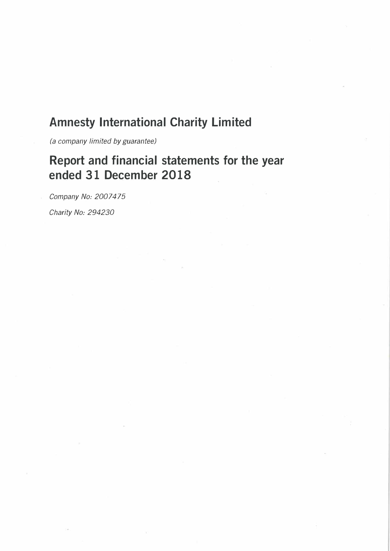# **Amnesty International Charity Limited**

*(a company limited by guarantee)* 

# **Report and financial statements for the year ended 31 December 2018**

*Company No: 2007475* 

*Charity No: 294230*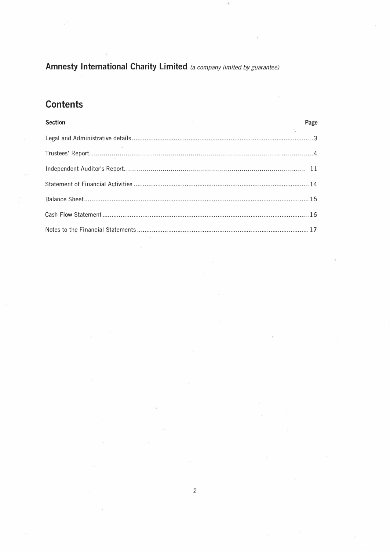## **Contents**

# **Section** Page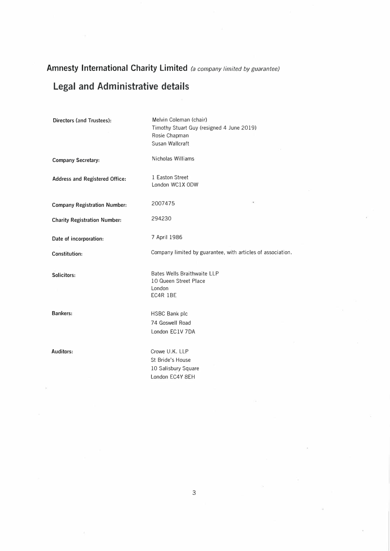# **Legal and Administrative details**

| <b>Directors (and Trustees):</b>    | Melvin Coleman (chair)<br>Timothy Stuart Guy (resigned 4 June 2019)<br>Rosie Chapman<br>Susan Wallcraft |
|-------------------------------------|---------------------------------------------------------------------------------------------------------|
| <b>Company Secretary:</b>           | Nicholas Williams                                                                                       |
| Address and Registered Office:      | 1 Easton Street<br>London WC1X ODW                                                                      |
| <b>Company Registration Number:</b> | ¥<br>2007475                                                                                            |
| <b>Charity Registration Number:</b> | 294230                                                                                                  |
| Date of incorporation:              | 7 April 1986                                                                                            |
| Constitution:                       | Company limited by guarantee, with articles of association.                                             |
| Solicitors:                         | <b>Bates Wells Braithwaite LLP</b><br>10 Queen Street Place<br>London<br>EC4R 1BE                       |
| <b>Bankers:</b>                     | HSBC Bank plc<br>74 Goswell Road<br>London EC1V 7DA                                                     |
| Auditors:                           | Crowe U.K. LLP<br>St Bride's House<br>10 Salisbury Square<br>London EC4Y 8EH                            |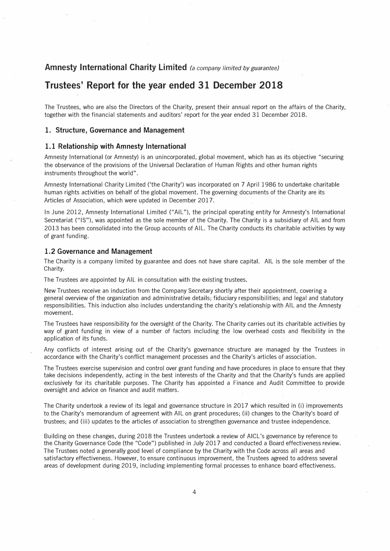## **Trustees' Report for the year ended 31 December 2018**

The Trustees, who are also the Directors of the Charity, present their annual report on the affairs of the Charity, together with the financial statements and auditors' report for the year ended 31 December 2018.

### **1. Structure, Governance and Management**

### **1. 1 Relationship with Amnesty International**

Amnesty International (or Amnesty) is an unincorporated, global movement, which has as its objective "securing the observance of the provisions of the Universal Declaration of Human Rights and other human rights instruments throughout the world".

Amnesty International Charity Limited ('the Charity') was incorporated on 7 April 1986 to undertake charitable human rights activities on behalf of the global movement. The governing documents of the Charity are its Articles of Association, which were updated in December 2017.

In June 2012, Amnesty International Limited ("AIL"), the principal operating entity for Amnesty's International Secretariat ("IS"), was appointed as the sole member of the Charity. The Charity is a subsidiary of AIL and from 2013 has been consolidated into the Group accounts of AIL. The Charity conducts its charitable activities by way of grant funding.

### **1.2 Governance and Management**

The Charity is a company limited by guarantee and does not have share capital. AIL is the sole member of the Charity.

The Trustees are appointed by AIL in consultation with the existing trustees.

New Trustees receive an induction from the Company Secretary shortly after their appointment, covering a general overview of the organization and administrative details; fiduciary responsibilities; and legal and statutory responsibilities. This induction also includes understanding the charity's relationship with AIL and the Amnesty movement.

The Trustees have responsibility for the oversight of the Charity. The Charity carries out its charitable activities by way of grant funding in view of a number of factors including the low overhead costs and flexibility in the application of its funds.

Any conflicts of interest arising out of the Charity's governance structure are managed by the Trustees in accordance with the Charity's conflict management processes and the Charity's articles of association.

The Trustees exercise supervision and control over grant funding and have procedures in place to ensure that they take decisions independently, acting in the best interests of the Charity and that the Charity's funds are applied exclusively for its charitable purposes. The Charity has appointed a Finance and Audit Committee to provide oversight and advice on finance and audit matters.

The Charity undertook a review of its legal and governance structure in 2017 which resulted in (i) improvements to the Charity's memorandum of agreement with AIL on grant procedures; (ii) changes to the Charity's board of trustees; and (iii) updates to the articles of association to strengthen governance and trustee independence.

Building on these changes, during 2018 the Trustees undertook a review of AICL's governance by reference to the Charity Governance Code (the "Code") published in July 2017 and conducted a Board effectiveness review. The Trustees noted a generally good level of compliance by the Charity with the Code across all areas and satisfactory effectiveness. However, to ensure continuous improvement, the Trustees agreed to address several areas of development during 2019, including implementing formal processes to enhance board effectiveness.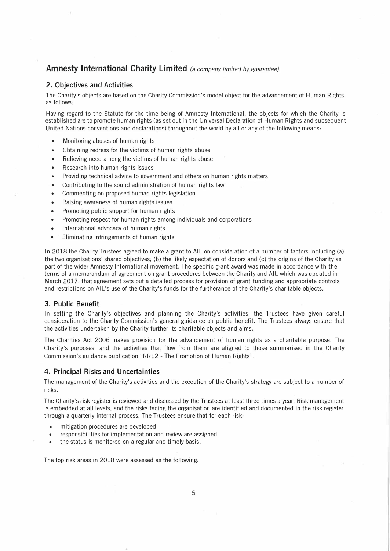### **2. Objectives and Activities**

The Charity's objects are based on the Charity Commission's model object for the advancement of Human Rights, as follows:

Having regard to the Statute for the time being of Amnesty International, the objects for which the Charity is established are to promote human rights (as set out in the Universal Declaration of Human Rights and subsequent United Nations conventions and declarations) throughout the world by all or any of the following means:

- Monitoring abuses of human rights
- Obtaining redress for the victims of human rights abuse
- Relieving need among the victims of human rights abuse
- Research into human rights issues
- Providing technical advice to government and others on human rights matters
- Contributing to the sound administration of human rights law
- Commenting on proposed human rights legislation
- Raising awareness of human rights issues
- Promoting public support for human rights
- Promoting respect for human rights among individuals and corporations
- International advocacy of human rights
- Eliminating infringements of human rights

In 2018 the Charity Trustees agreed to make a grant to AIL on consideration of a number of factors including (a) the two organisations' shared objectives; (b) the likely expectation of donors and (c) the origins of the Charity as part of the wider Amnesty International movement. The specific grant award was made in accordance with the terms of a memorandum of agreement on grant procedures between the Charity and AIL which was updated in March 2017; that agreement sets out a detailed process for provision of grant funding and appropriate controls and restrictions on AIL's use of the Charity's funds for the furtherance of the Charity's charitable objects.

### **3. Public Benefit**

In setting the Charity's objectives and planning the Charity's activities, the Trustees have given careful consideration to the Charity Commission's general guidance on public benefit. The Trustees always ensure that the activities undertaken by the Charity further its charitable objects and aims.

The Charities Act 2006 makes provision for the advancement of human rights as a charitable purpose. The Charity's purposes, and the activities that flow from them are aligned to those summarised in the Charity Commission's guidance publication "RR12 - The Promotion of Human Rights".

### **4. Principal Risks and Uncertainties**

The management of the Charity's activities and the execution of the Charity's strategy are subject to a number of risks.

The Charity's risk register is reviewed and discussed by the Trustees at least three times a year. Risk management is embedded at all levels, and the risks facing the organisation are identified and documented in the risk register through a quarterly internal process. The Trustees ensure that for each risk:

- mitigation procedures are developed
- responsibilities for implementation and review are assigned
- the status is monitored on a regular and timely basis.

The top risk areas in 2018 were assessed as the following: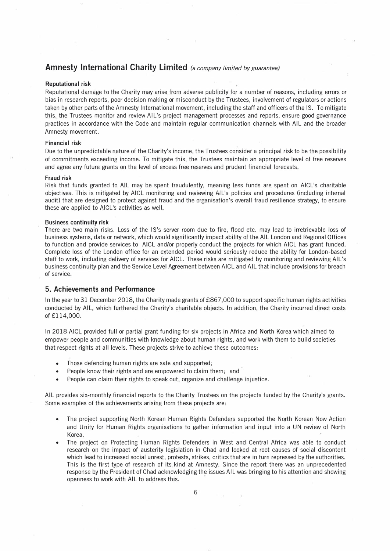### **Reputational risk**

Reputational damage to the Charity may arise from adverse publicity for a number of reasons, including errors or bias in research reports, poor decision making or misconduct by the Trustees, involvement of regulators or actions taken by other parts of the Amnesty International movement, including the staff and officers of the IS. To mitigate this, the Trustees monitor and review AIL's project management processes and reports, ensure good governance practices in accordance with the Code and maintain regular communication channels with AIL and the broader Amnesty movement.

### **Financial risk**

Due to the unpredictable nature of the Charity's income, the Trustees consider a principal risk to be the possibility of commitments exceeding income. To mitigate this, the Trustees maintain an appropriate level of free reserves and agree any future grants on the level of excess free reserves and prudent financial forecasts.

#### **Fraud risk**

Risk that funds granted to AIL may be spent fraudulently, meaning less funds are spent on AICL's charitable objectives. This is mitigated by AICL monitoring and reviewing All's policies and procedures (including internal audit) that are designed to protect against fraud and the organisation's overall fraud resilience strategy, to ensure these are applied to AICL's activities as well.

### **Business continuity risk**

There are two main risks. Loss of the IS's server room due to fire, flood etc. may lead to irretrievable loss of business systems, data or network, which would significantly impact ability of the AIL London and Regional Offices to function and provide services to AICL and/or properly conduct the projects for which AICL has grant funded. Complete loss of the London office for an extended period would seriously reduce the ability for London-based staff to work, including delivery of services for AICL. These risks are mitigated by monitoring and reviewing All's business continuity plan and the Service Level Agreement between AICL and AIL that include provisions for breach of service.

### **5. Achievements and Performance**

In the year to 31 December 2018, the Charity made grants of £867,000 to support specific human rights activities conducted by AIL, which furthered the Charity's charitable objects. In addition, the Charity incurred direct costs of £114,000.

In 2018 AICL provided full or partial grant funding for six projects in Africa and North Korea which aimed to empower people and communities with knowledge about human rights, and work with them to build societies that respect rights at all levels. These projects strive to achieve these outcomes:

- Those defending human rights are safe and supported;
- People know their rights and are empowered to claim them; and
- People can claim their rights to speak out, organize and challenge injustice.

AIL provides six-monthly financial reports to the Charity Trustees on the projects funded by the Charity's grants. Some examples of the achievements arising from these projects are:

- The project supporting North Korean Human Rights Defenders supported the North Korean Now Action and Unity for Human Rights organisations to gather information and input into a UN review of North Korea.
- The project on Protecting Human Rights Defenders in West and Central Africa was able to conduct research on the impact of austerity legislation in Chad and looked at root causes of social discontent which lead to increased social unrest, protests, strikes, critics that are in turn repressed by the authorities. This is the first type of research of its kind at Amnesty. Since the report there was an unprecedented response by the President of Chad acknowledging the issues AIL was bringing to his attention and showing openness to work with AIL to address this.

**Sales**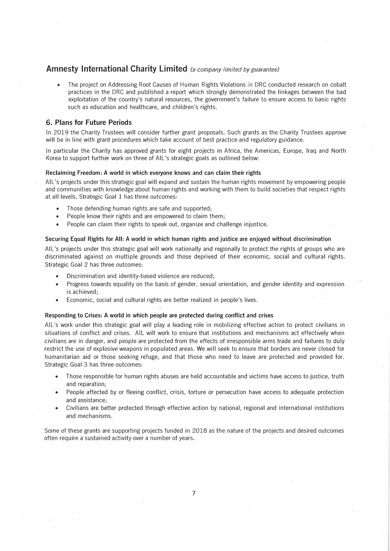• The project on Addressing Root Causes of Human Rights Violations in DRC conducted research on cobalt practices in the DRC and published a report which strongly demonstrated the linkages between the bad exploitation of the country's natural resources, the government's failure to ensure access to basic rights such as education and healthcare, and children's rights.

### **6. Plans for Future Periods**

In 2019 the Charity Trustees will consider further grant proposals. Such grants as the Charity Trustees approve will be in line with grant procedures which take account of best practice and regulatory guidance.

In particular the Charity has approved grants for eight projects in Africa, the Americas, Europe, Iraq and North Korea to support further work on three of AIL's strategic goals as outlined below:

### **Reclaiming Freedom: A world in which everyone knows and can claim their rights**

All's projects under this strategic goal will expand and sustain the human rights movement by empowering people and communities with knowledge about human rights and working with them to build societies that respect rights at all levels. Strategic Goal 1 has three outcomes:

- Those defending human rights are safe and supported;
- People know their rights and are empowered to claim them;
- People can claim their rights to speak out, organize and challenge injustice.

### Securing Equal Rights for All: A world in which human rights and justice are enjoyed without discrimination

All's projects under this strategic goal will work nationally and regionally to protect the rights of groups who are discriminated against on multiple grounds and those deprived of their economic, social and cultural rights. Strategic Goal 2 has three outcomes:

- Discrimination and identity-based violence are reduced;
- Progress towards equality on the basis of gender, sexual orientation, and gender identity and expression is achieved;
- Economic, social and cultural rights are better realized in people's lives.

### Responding to Crises: A world in which people are protected during conflict and crises

All's work under this strategic goal will play a leading role in mobilizing effective action to protect civilians in situations of conflict and crises. AIL will work to ensure that institutions and mechanisms act effectively when civilians are in danger, and people are protected from the effects of irresponsible arms trade and failures to duly restrict the use of explosive weapons in populated areas. We will seek to ensure that borders are never closed for humanitarian aid or those seeking refuge, and that those who need to leave are protected and provided for. Strategic Goal 3 has three outcomes:

- Those responsible for human rights abuses are held accountable and victims have access to justice, truth and reparation;
- People affected by or fleeing conflict, crisis, torture or persecution have access to adequate protection and assistance;
- Civilians are better protected through effective action by national, regional and international institutions and mechanisms.

Some of these grants are supporting projects funded in 2018 as the nature of the projects and desired outcomes often require a sustained activity over a number of years.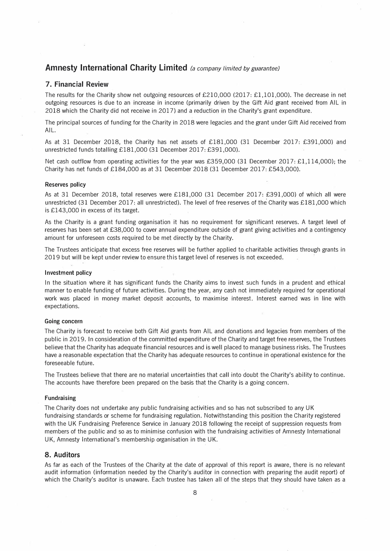### **7. Financial Review**

The results for the Charity show net outgoing resources of £210,000 (2017: £1,101,000). The decrease in net outgoing resources is due to an increase in income (primarily driven by the Gift Aid grant received from AIL in 2018 which the Charity did not receive in 2017) and a reduction in the Charity's grant expenditure.

The principal sources of funding for the Charity in 2018 were legacies and the grant under Gift Aid received from AIL.

As at 31 December 2018, the Charity has net assets of £181,000 (31 December 2017: £391,000) and unrestricted funds totalling £181,000 (31 December 2017: £391,000).

Net cash outflow from operating activities for the year was £359,000 (31 December 2017: £1,114,000); the Charity has net funds of £184,000 as at 31 December 2018 (31 December 2017: £543,000).

#### **Reserves policy**

As at 31 December 2018, total reserves were £181,000 (31 December 2017: £391,000) of which all were unrestricted (31 December 2017: all unrestricted). The level of free reserves of the Charity was £181,000 which is £143,000 in excess of its target.

As the Charity is a grant funding organisation it has no requirement for significant reserves. A target level of reserves has been set at £38,000 to cover annual expenditure outside of grant giving activities and a contingency amount for unforeseen costs required to be met directly by the Charity.

The Trustees anticipate that excess free reserves will be further applied to diaritable activities through grants in 2019 but will be kept under review to ensure this target level of reserves is not exceeded.

#### **Investment policy**

In the situation where it has significant funds the Charity aims to invest such funds in a prudent and ethical manner to enable funding of future activities. During the year, any cash not immediately required for operational work was placed in money market deposit accounts, to maximise interest:. Interest earned was in line with expectations.

### **Going concern**

The Charity is forecast to receive both Gift Aid grants from AIL and donations and legacies from members of the public in 2019. In consideration of the committed expenditure of the Charity and target free reserves, the Trustees believe that the Charity has adequate financial resources and is well placed to manage business risks. The Trustees have a reasonable expectation that the Charity has adequate resources to continue in operational existence for the foreseeable future.

The Trustees believe that there are no material uncertainties that call into doubt the Charity's ability to continue. The accounts have therefore been prepared on the basis that the Charity is a going concern.

#### **Fundraising**

The Charity does not undertake any public fundraising activities and so has not subscribed to any UK fundraising standards or scheme for fundraising regulation. Notwithstanding this position the Charity registered with the UK Fundraising Preference Service in January 2018 following the receipt of suppression requests from members of the public and so as to minimise confusion with the fundraising activities of Amnesty International UK, Amnesty lnternational's membership organisation in the UK.

### **8. Auditors**

As far as each of the Trustees of the Charity at the date of approval of this report is aware, there is no relevant audit information (information needed by the Charity's auditor in connection with preparing the audit report) of which the Charity's auditor is unaware. Each trustee has taken all of the steps that they should have taken as a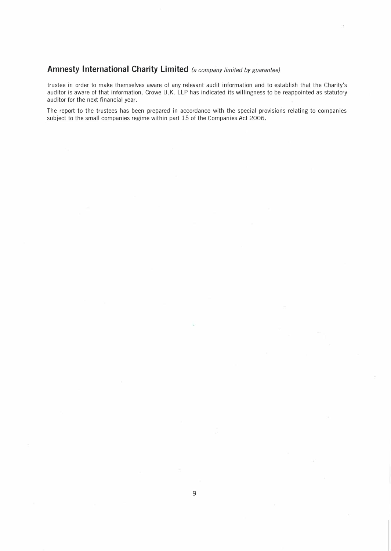trustee in order to make themselves aware of any relevant audit information and to establish that the Charity's auditor is aware of that information. Crowe U.K. LLP has indicated its willingness to be reappointed as statutory auditor for the next financial year.

The report to the trustees has been prepared in accordance with the special provisions relating to companies subject to the small companies regime within part 15 of the Companies Act 2006.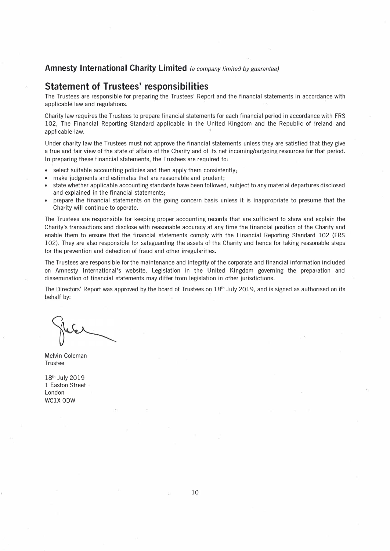## **Statement of Trustees' responsibilities**

The Trustees are responsible for preparing the Trustees' Report and the financial statements in accordance with applicable law arid regulations.

Charity law requires the Trustees to prepare financial statements for each financial period in accordance with FRS 102, The Financial Reporting Standard applicable in the United Kingdom and the Republic of Ireland and applicable law.

Under charity law the Trustees must not approve the financial statements unless they are satisfied that they give a true and fair view of the state of affairs of the Charity and of its net incoming/outgoing resources for that period. In preparing these financial statements, the Trustees are required to:

- select suitable accounting policies and then apply them consistently;
- make judgments and estimates that are reasonable and prudent;
- state whether applicable accounting standards have been followed, subject to any material departures disclosed and explained in the financial statements;
- prepare the financial statements on the going concern basis unless it is inappropriate to presume that the Charity will continue to operate.

The Trustees are responsible for keeping proper accounting records that are sufficient to show and explain the Charity's transactions and disclose with reasonable accuracy at any time the financial position of the Charity and enable them to ensure that the financial statements comply with the Financial Reporting Standard 102 (FRS 102). They are also responsible for safeguarding the assets of the Charity and hence for taking reasonable steps for the prevention and detection of fraud and other irregularities.

The Trustees are responsible for the maintenance and integrity of the corporate and financial information included on Amnesty lnternational's website. Legislation in the United Kingdom governing the preparation and dissemination of financial statements may differ from legislation in other jurisdictions.

The Directors' Report was approved by the board of Trustees on 18<sup>th</sup> July 2019, and is signed as authorised on its behalf by:

Melvin Coleman Trustee

18<sup>th</sup> July 2019 1 Easton Street London WClX 0DW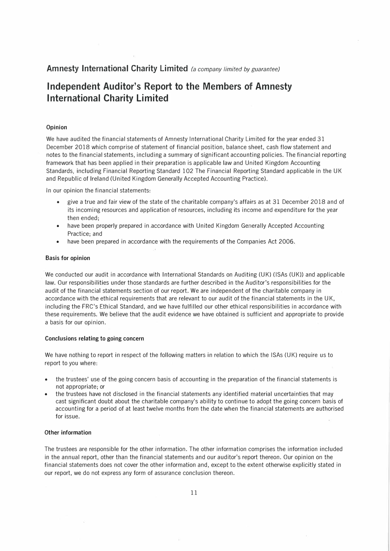## **Independent Auditor's Report to the Members of Amnesty International Charity Limited**

### **Opinion**

We have audited the financial statements of Amnesty International Charity Limited for the year ended 31 December 2018 which comprise of statement of financial position, balance sheet, cash flow statement and notes to the financial statements, including a summary of significant accounting policies. The financial reporting framework that has been applied in their preparation is applicable law and United Kingdom Accounting Standards, including Financial Reporting Standard 102 The Financial Reporting Standard applicable in the UK and Republic of Ireland (United Kingdom Generally Accepted Accounting Practice).

In our opinion the financial statements:

- give a true and fair view of the state of the charitable company's affairs as at 31 December 2018 and of its incoming resources and application of resources, including its income and expenditure for the year then ended;
- have been properly prepared in accordance with United Kingdom Generally Accepted Accounting Practice; and
- have been prepared in accordance with the requirements of the Companies Act 2006.

### **Basis for opinion**

We conducted our audit in accordance with International Standards on Auditing (UK) (ISAs (UK)) and applicable law. Our responsibilities under those standards are further described in the Auditor's responsibilities for the audit of the financial statements section of our report. We are independent of the charitable company in accordance with the ethical requirements that are relevant to our audit of the financial statements in the UK, including the FRC's Ethical Standard, and we have fulfilled our other ethical responsibilities in accordance with these requirements. We believe that the audit evidence we have obtained is sufficient and appropriate to provide a basis for our opinion.

#### **Conclusions relating to going concern**

We have nothing to report in respect of the following matters in relation to which the ISAs (UK) require us to report to you where:

- the trustees' use of the going concern basis of accounting in the preparation of the financial statements is not appropriate; or
- the trustees have not disclosed in the financial statements any identified material uncertainties that may cast significant doubt about the charitable company's ability to continue to adopt the going concern basis of accounting for a period of at least twelve months from the date when the financial statements are authorised for issue.

### **Other information**

The trustees are responsible for the other information. The other information comprises the information included in the annual report, other than the financial statements and our auditor's report thereon. Our opinion on the financial statements does not cover the other information and, except to the extent otherwise explicitly stated in our report, we do not express any form of assurance conclusion thereon.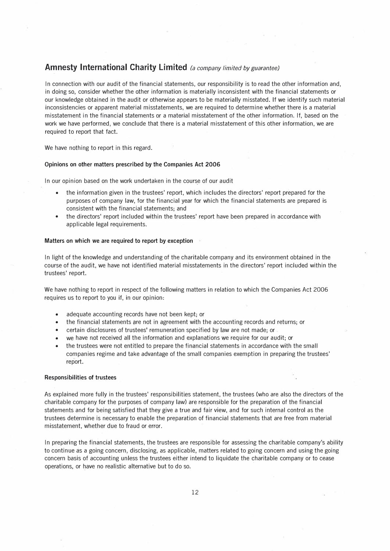In connection with our audit of the financial statements, our responsibility is to read the other information and, in doing so, consider whether the other information is materially inconsistent with the financial statements or our knowledge obtained in the audit or otherwise appears to be materially misstated. If we identify such material inconsistencies or apparent material misstatements, we are required to determine whether there is a material misstatement in the financial statements or a material misstatement of the other information. If, based on the work we have performed, we conclude that there is a material misstatement of this other information, we are required to report that fact.

We have nothing to report in this regard.

### **Opinions on other matters prescribed by the Companies Act 2006**

In our opinion based on the work undertaken in the course of our audit

- the information given in the trustees' report, which includes the directors' report prepared for the purposes of company law, for the financial year for which the financial statements are prepared is consistent with the financial statements; and
- the directors' report included within the trustees' report have been prepared in accordance with applicable legal requirements.

### **Matters on which we are required to report by exception**

In light of the knowledge and understanding of the charitable company and its environment obtained in the course of the audit, we have not identified material misstatements in the directors' report included within the trustees' report.

We have nothing to report in respect of the following matters in relation to which the Companies Act 2006 requires us to report to you if, in our opinion:

- adequate accounting records have not been kept; or
- the financial statements are not in agreement with the accounting records and returns; or
- certain disclosures of trustees' remuneration specified by law are not made; or.
- we have not received all the information and explanations we require for our audit; or
- the trustees were not entitled to prepare the financial statements in accordance with the small companies regime and take advantage of the small companies exemption in preparing the trustees' report.

### **Responsibilities of trustees**

As explained more fully in the trustees' responsibilities statement, the trustees (who are also the directors of the charitable company for the purposes of company law) are responsible for the preparation of the financial statements and for being satisfied that they give a true and fair view, and for such internal control as the trustees determine is necessary to enable the preparation of financial statements that are free from material misstatement, whether due to fraud or error.

In preparing the financial statements, the trustees are responsible for assessing the charitable company's ability to continue as a going concern, disclosing, as applicable, matters related to going concern and using the going concern basis of accounting unless the trustees either intend to liquidate the charitable company or to cease operations, or have no realistic alternative but to do so.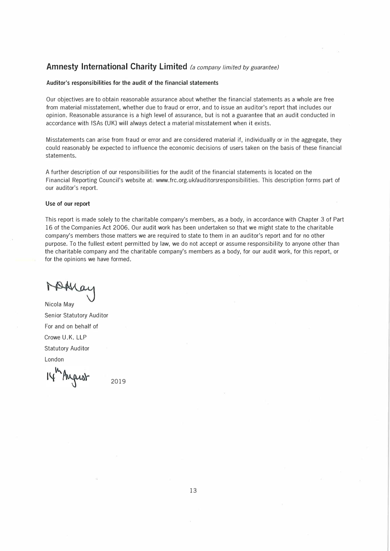### **Auditor's responsibilities for the audit of the financial statements**

Our objectives are to obtain reasonable assurance about whether the financial statements as a whole are free from material misstatement, whether due to fraud or error, and to issue an auditor's report that includes our opinion. Reasonable assurance is a high level of assurance, but is not a guarantee that an audit conducted in accordance with ISAs (UK) will always detect a material misstatement when it exists.

Misstatements can arise from fraud or error and are considered material if, individually or in the aggregate, they could reasonably be expected to influence the economic decisions of users taken on the basis of these financial statements.

A further description of our responsibilities for the audit of the financial statements is located on the Financial Reporting Council's website at: www.frc.org.uk/auditorsresponsibilities. This description forms part of our auditor's report.

### **Use of our report**

This report is made solely to the charitable company's members, as a body, in accordance with Chapter 3 of Part 16 of the Companies Act 2006. Our audit work has been undertaken so that we might state to the charitable company's members those matters we are required to state to them in an auditor's report and for no other purpose. To the fullest extent permitted by law, we do not accept or assume responsibility to anyone other than the charitable company and the charitable company's members as a body, for our audit work, for this report, or for the opinions we have formed.

Nicola May Senior Statutory Auditor For and on behalf of Crowe U.K. LLP Statutory Auditor London

14 August

2019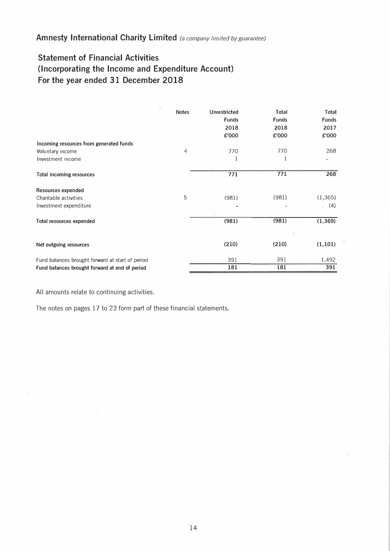## **Statement of Financial Activities (Incorporating the Income and Expenditure Account) For the year ended 31 December 2018**

| ÷,                                               | <b>Notes</b> | Unrestricted<br><b>Funds</b><br>2018<br>£'000 | Total<br><b>Funds</b><br>2018<br>£'000 | Total<br><b>Funds</b><br>2017<br>£'000 |
|--------------------------------------------------|--------------|-----------------------------------------------|----------------------------------------|----------------------------------------|
| Incoming resources from generated funds          |              |                                               |                                        |                                        |
| Voluntary income                                 | 4            | 770                                           | 770                                    | 268                                    |
| Investment income                                |              | 1                                             | 1                                      |                                        |
| <b>Total incoming resources</b>                  |              | 771                                           | 771                                    | 268                                    |
| Resources expended                               |              |                                               |                                        |                                        |
| Charitable activities                            | 5            | (981)                                         | (981)                                  | (1, 365)                               |
| Investment expenditure                           |              |                                               |                                        | (4)<br>a.                              |
| Total resources expended                         |              | (981)                                         | (981)                                  | (1, 369)                               |
|                                                  |              |                                               |                                        |                                        |
| Net outgoing resources                           |              | (210)                                         | (210)                                  | (1, 101)                               |
| Fund balances brought forward at start of period |              | 391                                           | 391                                    | 1,492                                  |
| Fund balances brought forward at end of period   |              | 181                                           | 181                                    | 391                                    |

All amounts relate to continuing activities.

The notes on pages 17 to 23 form part of these financial statements.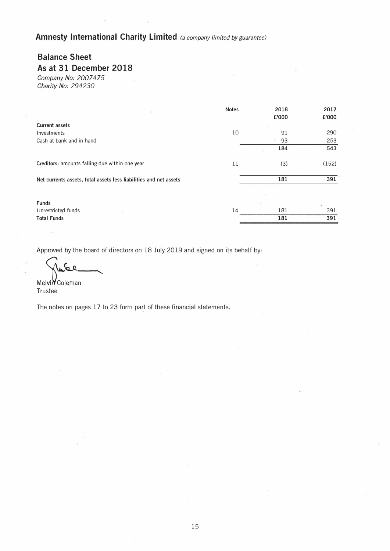## **Balance Sheet**

## **As at 31 December 2018**

*Company No: 2007475 Charity No: 294230* 

|                                                                   | <b>Notes</b> | 2018  | 2017  |
|-------------------------------------------------------------------|--------------|-------|-------|
|                                                                   |              | £'000 | £'000 |
| <b>Current assets</b>                                             |              |       |       |
| Investments                                                       | 10           | 91    | 290   |
| Cash at bank and in hand                                          |              | 93    | 253   |
|                                                                   |              | 184   | 543   |
| Creditors: amounts falling due within one year                    | 11           | (3)   | (152) |
| Net currents assets, total assets less liabilities and net assets |              | 181   | 391   |
|                                                                   |              |       |       |
| <b>Funds</b>                                                      |              |       | S¥.   |
| Unrestricted funds                                                | 14           | 181   | 391   |
| <b>Total Funds</b>                                                |              | 181   | 391   |

Approved by the board of directors on 18 July 2019 and signed on its behalf by:

 $\mathbf{r}$ 

**MelviV** Coleman Trustee

The notes on pages 17 to 23 form part of these financial statements.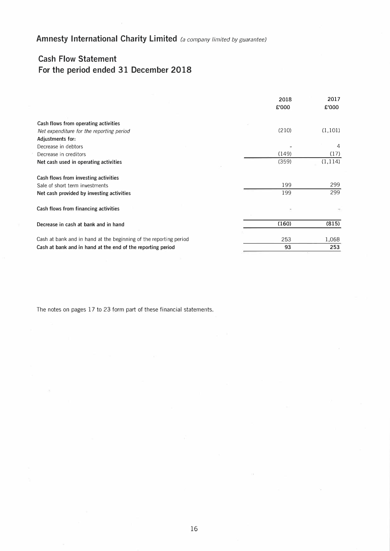## **Cash Flow Statement For the period ended 31 December 2018**

|                                                                   | 2018  | 2017     |
|-------------------------------------------------------------------|-------|----------|
|                                                                   | £'000 | £'000    |
| Cash flows from operating activities                              |       |          |
| Net expenditure for the reporting period                          | (210) | (1, 101) |
| Adjustments for:                                                  |       |          |
| Decrease in debtors                                               |       | 4        |
| Decrease in creditors                                             | (149) | (17)     |
| Net cash used in operating activities                             | (359) | (1, 114) |
| Cash flows from investing activities                              |       |          |
| Sale of short term investments                                    | 199   | 299      |
| Net cash provided by investing activities                         | 199   | 299      |
| Cash flows from financing activities                              |       |          |
| Decrease in cash at bank and in hand                              | (160) | (815)    |
| Cash at bank and in hand at the beginning of the reporting period | 253   | 1,068    |
| Cash at bank and in hand at the end of the reporting period       | 93    | 253      |

The notes on pages 17 to 23 form part of these financial statements.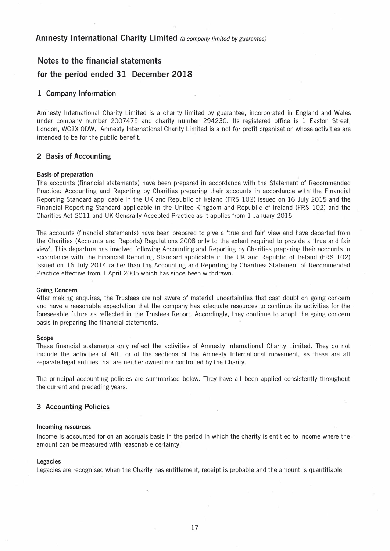## **Notes to the financial statements**

### **for the period ended 31 December 2018**

### **1 Company Information**

Amnesty International Charity Limited is a charity limited by guarantee, incorporated in England and Wales under company number 2007475 and charity number 294230. Its registered office is 1 Easton Street, London, WClX 0DW. Amnesty International Charity Limited is a not for profit organisation whose activities are intended to be for the public benefit.

### **2 Basis of Accounting**

### **Basis of preparation**

The accounts (financial statements) have been prepared in accordance with the Statement of Recommended Practice: Accounting and Reporting by Charities preparing their accounts in accordance with the Financial Reporting Standard applicable in the UK and Republic of Ireland (FRS 102) issued on 16 July 2015 and the Financial Reporting Standard applicable in the United Kingdom and Republic of Ireland (FRS 102) and the Charities Act 2011 and UK Generally Accepted Practice as it applies from 1 January 2015.

The accounts (financial statements) have been prepared to give a 'true and fair' view and have departed from the Charities (Accounts and Reports) Regulations 2008 only to the extent required to provide a 'true and fair view'. This departure has involved following Accounting and Reporting by Charities preparing their accounts in accordance with the Financial Reporting Standard applicable in the UK and Republic of Ireland (FRS 102) issued on 16 July 2014 rather than the Accounting and Reporting by Charities: Statement of Recommended Practice effective from 1 April 2005 which has since been withdrawn.

### **Going Concern**

After making enquires, the Trustees are not aware of material uncertainties that cast doubt on going concern and have a reasonable expectation that the company has adequate resources to continue its activities for the foreseeable future as reflected in the Trustees Report. Accordingly, they continue to adopt the going concern basis in preparing the financial statements.

#### **Scope**

These financial statements only reflect the activities of Amnesty International Charity Limited. They do not include the activities of AIL, or of the sections of the Amnesty International movement, as these are all separate legal entities that are neither owned nor controlled by the Charity.

The principal accounting policies are summarised below. They have all been applied consistently throughout the current and preceding years.

### **3 Accounting Policies**

#### **Incoming resources**

Income is accounted for on an accruals basis in the period in which the charity is entitled to income where the amount can be measured with reasonable certainty.

### **Legacies**

Legacies are recognised when the Charity has entitlement, receipt is probable and the amount is quantifiable.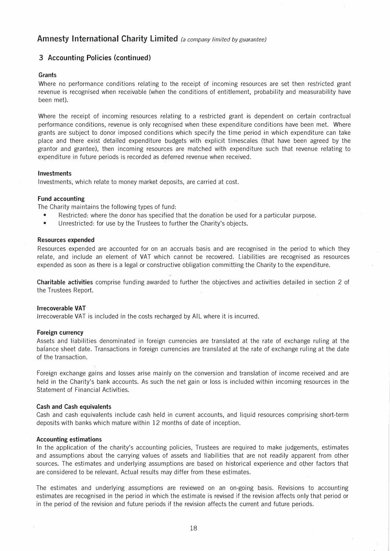## **3 Accounting Policies {continued)**

### **Grants**

Where no performance conditions relating to the receipt of incoming resources are set then restricted grant revenue is recognised when receivable (when the conditions of entitlement, probability and measurability have been met).

Where the receipt of incoming resources relating to a restricted grant is dependent on certain contractual performance conditions, revenue is only recognised when these expenditure conditions have been met. Where grants are subject to donor imposed conditions which specify the time period in which expenditure can take place and there exist detailed expenditure budgets with explicit timescales (that have been agreed by the grantor and grantee), then incoming resources are matched with expenditure such that revenue relating to expenditure in future periods is recorded as deferred revenue when received.

### **Investments**

Investments, which relate to money market deposits, are carried at cost.

### **Fund accounting**

The Charity maintains the following types of fund:

- Restricted: where the donor has specified that the donation be used for a particular purpose.
- Unrestricted: for use by the Trustees to further the Charity's objects.

### **Resources expended**

Resources expended are accounted for on an accruals basis and are recognised in the period to which they relate, and include an element of VAT which cannot be recovered. Liabilities are recognised as resources expended as soon as there is a legal or constructive obligation committing the Charity to the expenditure.

**Charitable activities** comprise funding awarded to further the objectives and activities detailed in section 2 of the Trustees Report.

### **Irrecoverable VAT**

Irrecoverable VAT is included in the costs recharged by AIL where it is incurred.

### **Foreign currency**

Assets and liabilities denominated in foreign currencies are translated at the rate of exchange ruling at the balance sheet date. Transactions in foreign currencies are translated at the rate of exchange ruling at the date of the transaction.

Foreign exchange gains and losses arise mainly on the conversion and translation of income received and are held in the Charity's bank accounts. As such the net gain or loss is included within incoming resources in the Statement of Financial Activities.

### **Cash and Cash equivalents**

Cash and cash equivalents include cash held in current accounts, and liquid resources comprising short-term deposits with banks which mature within 12 months of date of inception.

### **Accounting estimations**

In the application of the charity's accounting policies, Trustees are required to make judgements, estimates and assumptions about the carrying values of assets and liabilities that are not readily apparent from other sources. The estimates and underlying assumptions are based on historical experience and other factors that are considered to be relevant. Actual results may differ from these estimates.

The estimates and underlying assumptions are reviewed on an on-going basis. Revisions to accounting estimates are recognised in the period in which the estimate is revised if the revision affects only that period or in the period of the revision and future periods if the revision affects the current and future periods.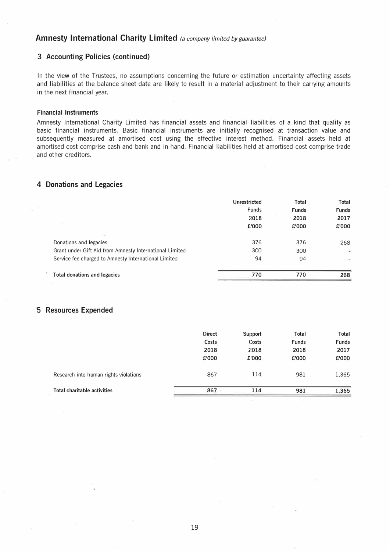### **3 Accounting Policies (continued)**

In the view of the Trustees, no assumptions concerning the future or estimation uncertainty affecting assets and liabilities at the balance sheet date are likely to result in a material adjustment to their carrying amounts in the next financial year.

### **Financial Instruments**

Amnesty International Charity Limited has financial assets and financial liabilities of a kind that qualify as basic financial instruments. Basic financial instruments are initially recognised at transaction value and subsequently measured at amortised cost using the effective interest method. Financial assets held at amortised cost comprise cash and bank and in hand. Financial liabilities held at amortised cost comprise trade and other creditors.

### **4 Donations and Legacies**

|                                                         | Unrestricted | Total        | <b>Total</b> |
|---------------------------------------------------------|--------------|--------------|--------------|
|                                                         | Funds        | <b>Funds</b> | <b>Funds</b> |
|                                                         | 2018         | 2018         | 2017         |
|                                                         | £'000        | £'000        | £'000        |
|                                                         |              |              |              |
| Donations and legacies                                  | 376          | 376          | 268          |
| Grant under Gift Aid from Amnesty International Limited | 300          | 300          | ۲            |
| Service fee charged to Amnesty International Limited    | 94           | 94           |              |
| <b>Total donations and legacies</b>                     | 770          | 770          | 268          |

### **5 Resources Expended**

| <b>Total charitable activities</b>    | 867           | 114     | 981          | 1,365        |
|---------------------------------------|---------------|---------|--------------|--------------|
| Research into human rights violations | 867           | 114     | 981          | 1,365        |
|                                       | 2018          | 2018    | 2018         | 2017         |
|                                       | £'000         | £'000   | £'000        | £'000        |
|                                       | <b>Direct</b> | Support | Total        | Total        |
|                                       | Costs         | Costs   | <b>Funds</b> | <b>Funds</b> |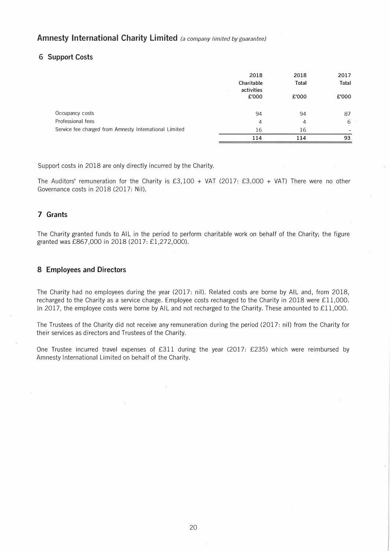### **6 Support Costs**

|                                                        | 2018<br>Charitable<br>activities<br>£'000 | 2018<br><b>Total</b><br>£'000 | 2017<br>Total<br>£'000 |
|--------------------------------------------------------|-------------------------------------------|-------------------------------|------------------------|
| Occupancy costs                                        | 94                                        | 94                            | 87                     |
| Professional fees                                      | 4                                         | 4                             | 6                      |
| Service fee charged from Amnesty International Limited | 16                                        | 16                            |                        |
|                                                        | 114                                       | 114                           | 93                     |

Support costs in 2018 are only directly incurred by the Charity.

The Auditors' remuneration for the Charity is £3,100 + VAT (2017: £3,000 + VAT) There were no other Governance costs in 2018 (2017: Nil).

## **7 Grants**

The Charity granted funds to AIL in the period to perform charitable work on behalf of the Charity; the figure granted was £867,000 in 2018 (2017: £1,272,000).

### **8 Employees and Directors**

The Charity had no employees during the year (2017: nil). Related costs are borne by AIL and, from 2018, recharged to the Charity as a service charge. Employee costs recharged to the Charity in 2018 were £11,000. In 2017, the employee costs were borne by AIL and not recharged to the Charity. These amounted to £11,000.

The Trustees of the Charity did not receive any remuneration during the period (2017: nil) from the Charity for their services as directors and Trustees of the Charity.

One Trustee incurred travel expenses of £311 during the year (2017: £235) which were reimbursed by Amnesty International Limited on behalf of the Charity.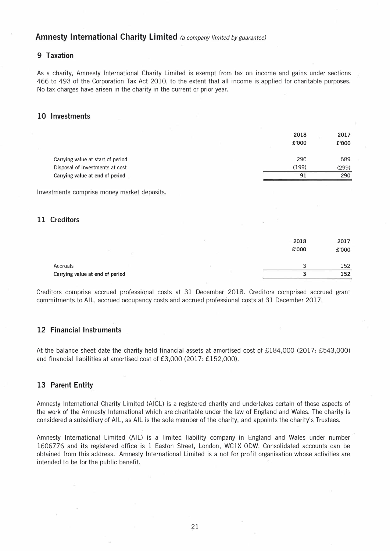## **9 Taxation**

As a charity, Amnesty International Charity Limited is exempt from tax on income and gains under sections 466 to 493 of the Corporation Tax Act 2010, to the extent that all income is applied for charitable purposes. No tax charges have arisen in the charity in the current or prior year.

### **10 Investments**

|                                   | 2018<br>£'000 | 2017<br>£'000 |
|-----------------------------------|---------------|---------------|
| Carrying value at start of period | 290           | 589           |
| Disposal of investments at cost   | (199)         | (299)         |
| Carrying value at end of period   | 91            | 290           |

Investments comprise money market deposits.

## **11 Creditors**

|                                             | 2018<br>£'000 | 2017<br>£'000 |
|---------------------------------------------|---------------|---------------|
| Accruals<br>Carrying value at end of period |               | 152<br>152    |

Creditors comprise accrued professional costs at 31 December 2018. Creditors comprised accrued grant commitments to AIL, accrued occupancy costs and accrued professional costs at 31 December 2017.

## **12 Financial Instruments**

At the balance sheet date the charity held financial assets at amortised cost of £184,000 (2017: £543,000) and financial liabilities at amortised cost of £3,000 (2017: £152,000).

### 13 Parent Entity

Amnesty International Charity Limited (AICU is a registered charity and undertakes certain of those aspects of the work of the Amnesty International which are charitable under the law of England and Wales. The charity is considered a subsidiary of AIL, as AIL is the sole member of the charity, and appoints the charity's Trustees.

Amnesty International Limited (AIU is a limited liability company in England and Wales under number 1606776 and its registered office is 1 Easton Street, London, WClX 0DW. Consolidated accounts can be obtained from this address. Amnesty International Limited is a not for profit organisation whose activities are intended to be for the public benefit.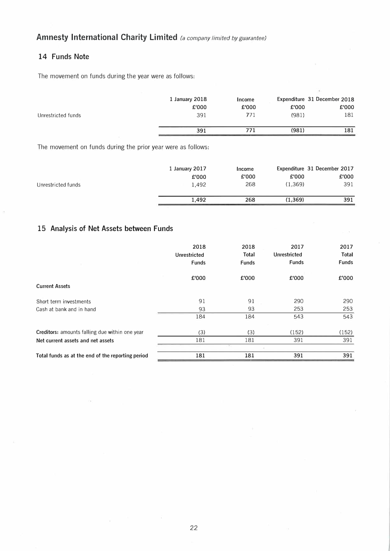## **14 Funds Note**

The movement on funds during the year were as follows:

| Unrestricted funds | 1 January 2018<br>£'000<br>391 | Income<br>£'000<br>771 | £'000<br>(981) | Expenditure 31 December 2018<br>£'000<br>181 |
|--------------------|--------------------------------|------------------------|----------------|----------------------------------------------|
|                    | 391                            | 771                    | (981)          | 181                                          |

The movement on funds during the prior year were as follows:

| 1 January 2017 | Income |          | Expenditure 31 December 2017 |
|----------------|--------|----------|------------------------------|
| £'000          | £'000  | £'000    | £'000                        |
| 1.492          | 268    | (1.369)  | 391                          |
| 1.492          | 268    | (1, 369) | 391                          |
|                |        |          |                              |

## **15 Analysis of Net Assets between Funds**

|                                                   | 2018                | 2018         | 2017         | 2017         |
|---------------------------------------------------|---------------------|--------------|--------------|--------------|
|                                                   | <b>Unrestricted</b> | Total        | Unrestricted | Total        |
|                                                   | <b>Funds</b>        | <b>Funds</b> | <b>Funds</b> | <b>Funds</b> |
|                                                   | £'000               | £'000        | £'000        | £'000        |
| <b>Current Assets</b>                             |                     |              |              |              |
| Short term investments                            | 91                  | 91           | 290          | 290          |
| Cash at bank and in hand                          | 93                  | 93           | 253          | 253          |
|                                                   | 184                 | 184          | 543          | 543          |
| Creditors: amounts falling due within one year    | (3)                 | (3)          | (152)        | (152)        |
| Net current assets and net assets                 | 181                 | 181          | 391          | 391          |
|                                                   |                     |              |              |              |
| Total funds as at the end of the reporting period | 181                 | 181          | 391          | 391          |